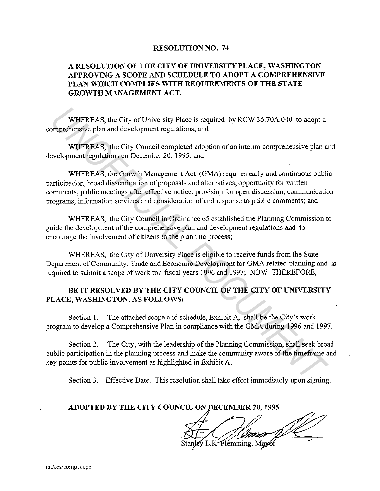## **RESOLUTION NO. 74**

## **A RESOLUTION OF THE CITY OF UNIVERSITY PLACE, WASHINGTON APPROVING A SCOPE AND SCHEDULE TO ADOPT A COMPREHENSIVE PLAN WHICH COMPLIES WITH REQUIREMENTS OF THE STATE GROWTH MANAGEMENT ACT.**

WHEREAS, the City of University Place is required by RCW 36.70A.040 to adopt a comprehensive plan and development regulations; and

WHEREAS, the City Council completed adoption of an interim comprehensive plan and development regulations on December 20, 1995; and

WHEREAS, the Growth Management Act (GMA) requires early and continuous public participation, broad dissemination of proposals and alternatives, opportunity for written comments, public meetings after effective notice, provision for open discussion, communication programs, information services and consideration of and response to public comments; and WHEREAS, the City of University Place is required by RCW 36.70A.040 to adopt a<br>
omprehensive plan and development regulations; and<br>
WHEREAS, the City Council completed adoption of an interim comprehensive plan a<br>
WHEREAS,

WHEREAS, the City Council in Ordinance 65 established the Planning Commission to guide the development of the comprehensive plan and development regulations and to encourage the involvement of citizens in the planning process;

WHEREAS, the City of University Place is eligible to receive funds from the State Department of Community, Trade and Economic Development for GMA related planning and is required to submit a scope of work for fiscal years 1996 and 1997; NOW THEREFORE,

## **BE IT RESOLVED BY THE CITY COUNCIL OF THE CITY OF UNIVERSITY PLACE, WASHINGTON, AS FOLLOWS:**

Section I. The attached scope and schedule, Exhibit A, shall be the City's work program to develop a Comprehensive Plan in compliance with the GMA during 1996 and 1997.

Section 2. The City, with the leadership of the Planning Commission, shall seek broad public participation in the planning process and make the community aware of the timeframe and key points for public involvement as highlighted in Exhibit A.

Section 3. Effective Date. This resolution shall take effect immediately upon signing.

## **ADOPTED BY THE CITY COUNCIL ON DECEMBER 20, 1995**

Flémming.

m:/res/compscope